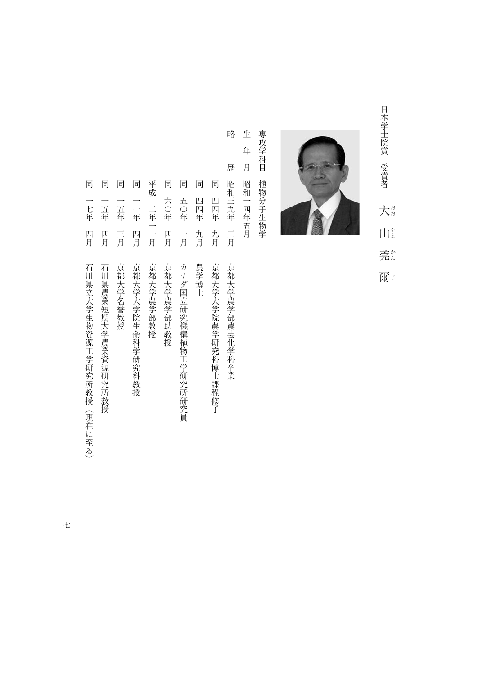日本学士院賞 受賞者 日本学生院賞賞賞 - 『『『『『『『『『『『『『『『『『『『『『『』』 大# おおやまかんじ  $\prod_{i=1}^{n}$ 莞な 爾じ



生 専攻学科目 専攻学科目植物分子生物学 年 月 植物分子生物学 昭和一四年五月

生年月昭和一四年五月

略歴昭和三九年三月京都大学農学部農芸化学科卒業 歴 同 昭和三九年 四四年 言 九月

同

略

平成 二年一一月 同一五年三月 日本 大学の こうしょう こうしょう こうしゅう こうしゅう こうしゅう こうしゅう こうしゅう こうしゅう こうしゅう こうしゅう こうしゅう こうしゅう こうしゅう こうしゅう こうしゅう こうしゃ 同一年四月 万里 医血管切除术 医血管切除术 医血管切除术 医血管切除术 医血管切除术 医血管切除术 医血管切除术 医血管切除术 医血管切除术 医血管切除术 医血管切除术 平成二年一一月京都大学農学部教授 同六〇年四月京都大学農学部助教授 同五〇年一月カナダ国立研究機構植物工学研究所研究員 同四年十月 キャンプ・ショップ しゅうしょう しゅうしゅう しゅうしゅう しゅうしゅう しゅうしゅう しゅうしゅう しゅうしゅう しゅうしゅう しゅうしゅう しゅうしゅう しゅうしゅう しゅうしゅう しゅうしゅう 同四四年九月京都大学大学院農学研究科博士課程修了 四月 四月 言 四月 九月 一月 石川県農業短期大学農業資源研究所教授 京都大学名誉教授 京都大学大学院生命科学研究科教授 京都大学農学部教授 京都大学農学部助教授 カナダ国立研究機構植物工学研究所研究員 農学博士 京都大学大学院農学研究科博士課程修了 京都大学農学部農芸化学科卒業

同 同

六〇年

一年

五〇年 四四年

石川県立大学生物資源工学研究所教授(現在に至る)

一年四月石川県立大学生物資源工学研究所教授(現在に至る)の「日本学研究所教授」と「日本学研究所教授」と「日本学研究所教授」と「日本学研究所教授」と「日本学研究所教授」と「日本学研究所教授」と「日本学研

同 同 同 同

一七年

四月

一五年 一五年

『日本語』の「日本語」の「日本語」の「日本語」の「日本語」の「日本語」の「日本語」の「日本語」の「日本語」の「日本語」の「日本語」の「日本語」の「日本語」の「日本語」の「日本語」の「日本語」の「日本語」の「日本語」の「日本語」の「日本語」の「日本語」の「日本語」の「日本語」の「日本語」の「日本語」の「日本語」の「日本語」の「日本語」の「日本語」の「日本語」の「日本語」の「日本語」の「日本語」の「日本語」の「日本語」の「日本語」の「日本語

七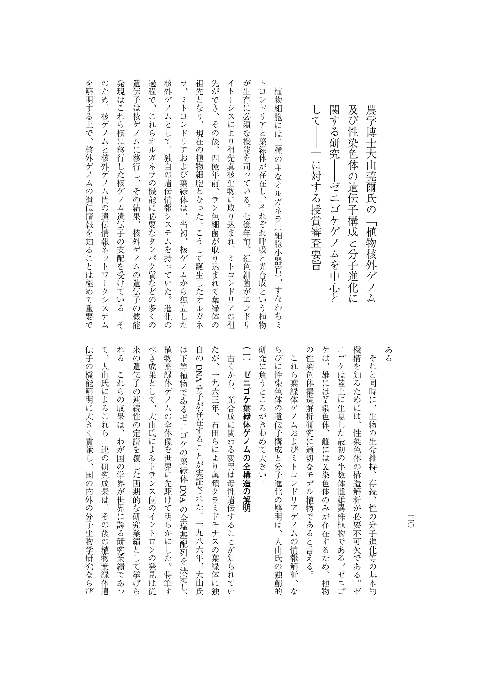| 核外ゲノムとして、独自の遺伝情報システムを持っていた。<br>ラ、<br>祖先となり、<br>先ができ、その後、<br>イトーシスにより祖先真核生物に取り込まれ、ミトコンドリアの祖<br>が生存に必須な機能を司っている。七億年前、<br>ミトコンドリアおよび葉緑体は、当初、核ゲノムから独立した<br>現在の植物細胞となった。こうして誕生したオルガネ<br>四億年前、ラン色細菌が取り込まれて葉緑体の<br>紅色細菌がエン<br>進化<br>・ドサ<br>の |
|---------------------------------------------------------------------------------------------------------------------------------------------------------------------------------------------------------------------------------------|
|---------------------------------------------------------------------------------------------------------------------------------------------------------------------------------------------------------------------------------------|

て、大山氏によるこれら一連の研究成果は、その後の植物葉緑体遺 れる。これらの成果は、わが国の学界が世界に誇る研究業績であっ 来の遺伝子の連続性の定説を覆した画期的な研究業績として挙げら べき成果として、大山氏によるトランス位のイントロンの発見は従 植物葉緑体ゲノムの全体像を世界に先駆けて明らかにした。特筆す は下等植物であるゼニゴケの葉緑体 DNA の全塩基配列を決定し、 自の DNA 分子が存在することが実証された。一九八六年、大山氏 たが、一九六三年、石田らにより藻類クラミドモナスの葉緑体に独 (一) ゼニゴケ葉緑体ゲノムの全構造の解明 研究に負うところがきわめて大きい。 らびに性染色体の遺伝子構成と分子進化の解明は、大山氏の独創的 の性染色体構造解析研究に適切なモデル植物であると言える。 ケは、雄にはY染色体、雌にはX染色体のみが存在するため、植物 ニゴケは陸上に生息した最初の半数体雌雄異株植物である。ゼニゴ 機構を知るためには、性染色体の構造解析が必要不可欠である。ゼ **(一)ゼロの全体の発射があります。**<br>「インターの解明」ということには、<br>「インターの解明」ということになる。 たち、これらの成果は、わが国の学界が世界にあった。これらの成果は、その成果がほとんどの成果があった。 来の過去には、その過去には、その過去には、この過去には、この過去には、この過去には、この過去には、この過去には、この過去には、この過去には、この過去には、この過去には、この過去には、この過去には、この べき成果として、大山氏によるトランス位のイントロンの発見は従 植物葉緑体ゲノムの全体像を世界に先駆けて明らかにした。特筆す は下等植物であるゼニゴケの葉緑体**コンピュー** たが、一九六三年、石田らには「九六三年」ということには、「九六三年」ということには、「九六三年」ということには、「九六三年」ということには、「九六三年」ということには、「九六三年」ということには、「九 研究に負うところがきわめて大きい。 ものは、大山氏の独創的な影子構成と分子進化の解明は、大山氏の独創的な影子構成と分子進化の解明は、大山氏の独創的な影子構成と分子進化の解明は、大山氏の独創的な影子構成と分子構成と分子構成と分子構成と分子 これら葉緑体ゲノムおよびミトコンドリアゲノムの情報解析、な の性染色体構造解析研究に適切なモデル植物であると言える。 ケは、雄にはY染色体、雌にはX染色体のみが存在するため、植物 ニゴケは陸上に生息した最初の半数体雌雄異株植物である。ゼニゴ 古くから、光合成に関わる変異は母性遺伝することが知られてい 古くから、光合成に関わる変異は母性遺伝することが知られてい これら<sub>茶様の情報</sub>を使っている。<br>サイトコンドリアゲノムの情報<br>マトコンドリアゲノムの情報 今年 かんしゅう ことがある ことがある ことがある ことがある ことがある ことがある ことが つき こうしょう こうしょう こうしょう こうしょう こうしょう

て、大山氏によるこれら一連の研究成果は、その後の植物葉緑体遺 に大きくランスの分子生物学研究を行っているのは、国の内外の分子生物学研究を行う。

伝子の機能解明に大きく貢献し、国の内外の分子生物学研究ならび

ある。

それと同時に、生物の生命維持、存続、性の分子進化等の基本的 たちには、は、性染色体の構造解析が必要である。ゼルギーの構造解析が必要である。ゼルギーの構造解析が必要である。ゼルギーの構造解析が必要である。ゼルギーの構造解析が必要である。

それと同時に、生物の生命維持、存続、性の分子進化等の基本的

アルバート アルバー・アルバー アルバー・アルバー アルバー・アルバー

農学博士大山莞爾氏の「植物核外ゲノム

 $\equiv$ 三〇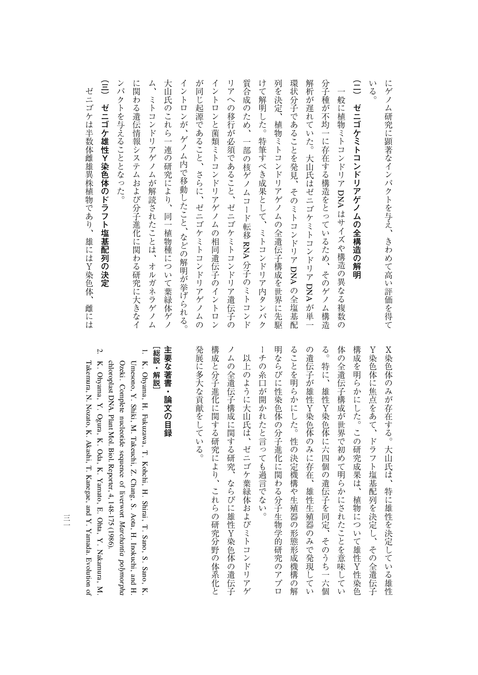ゼニゴケは半数体雌雄異株植物であり、雄にはY染色体、 ゼニゴケは半数体雌雄異株植物であり、雄にはY染色体、雌には 雌には

> 明ならびに性染色体の分子進化に関わる分子生物学的研究のアプロ 体の全遺伝子構成が世界で初めて明らかにされたことを意味してい **X染色体のみが存在する。大山氏は、特に雄性を決定している雄性** ーチの糸口が開かれたと言っても過言でない。 ることを明らかにした。性の決定機構や生殖器の形態形成機構の解 の遺伝子が雄性Y染色体のみに存在、雄性生殖器のみで発現してい る。特に、雄性Y染色体に六四個の遺伝子を同定、そのうち一六個 構成を明らかにした。この研究成果は、植物について雄性Y性染色 Y染色体に焦点をあて、ドラフト塩基配列を決定し、その全遺伝子 ーキの糸口が開かれたと言っても過言です。 しゅうしょう 明ならびに性染色体の分子進化に関わる分子生物学的研究のアプロ ることを明らかにした。性の決定機構や生殖器の形態形成機構の解 の遺伝子が独立。 Allen Senator Senator Senator Senator Senator Senator Senator Senator Senator Senator Senator Senator る。特に、雄性Y染色体に六四個の遺伝子を同定、そのうち一六個 体の全質を主張していると言われたことを意味しています。 こうしゅう こうしょう たちには、この研究成果は、その研究成果は、その研究成果は、その研究成果は、その研究成果は、その研究成果は、その研究成果は、その研究成果は、その研究成果は、その研究 Y染色体に焦点をあて、ドラフト塩基配列を決定し、その全遺伝子 X染色体のみが存在する。大山氏は、特に雄性を決定している雄性

には、それは、それは、それは、それは、まわめて高い評価を得て、まわめて高い評価を得て、まわめて高い評価を得て、まわめて高い評価を得て、まわめて高い評価を得て、まわめて高い評価を得て、まわめて高い評価を

にゲノム研究に顕著なインパクトを与え、きわめて高い評価を得て

発展に多大な貢献をしている。 構成と分子進化に関する研究により、これらの研究分野の体系化と ノムの全遺伝子構成に関する研究、ならびに雄性Y染色体の遺伝子 発展に多大な貢献をしている。 構成と分子進化に関する研究により、これらの研究分野の体系化と ノムの全菌 アメリカ こうしゅう こうしゅう こうしゅう こうしゅう こうしゅう こうしゅう 以上のように大山氏は、ゼニゴケ葉緑体およびミトコンドリアゲ 以上のように大山氏は、ゼニゴケ葉緑体およびミトコンドリアゲ

## [総説・解説] 主要な著書・論文の目録 **その場合には、この場合の場合を制御している。**

**[総説・解説]**

1.

- K. Ohyama, H. Fukuzawa, T. Kohchi, H. Shirai, T. Sano, S. Sano, K. Ozeki. Complete nucleotidesequence of liverwort Umesono, Y. Shiki, M. Takeuchi,Ņ. Chang, S. Aota, H. Inokuchi, and H. *Marchantia polymorpha* chloroplast DNA. Plant Mol. Biol.Reporter, 4, 148-175 (1986).
- K. Ohyama, Y. Ogura, K. Oda, K. Yamato, E. Ohta, $\preceq$  Nakamura, M. Takemura, N. Nozato, K. Akashi, T. Kanegae, and Y. Yamada. Evolution<u>ຊ</u>

2.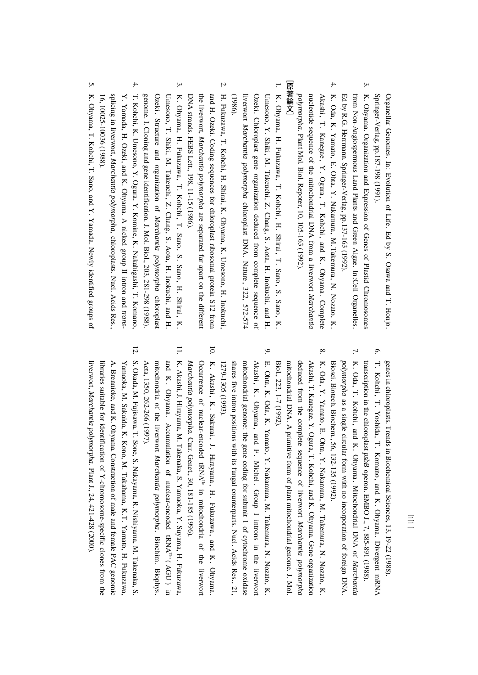Springer-Verlag, pp.187-198 (1991). Organellar Genomes. In: Evolution<u>ຊ</u> Life. Ed by S. Osawa and T.Honjo.

- 3. K. Ohyama. Organization and Expression of Genes $\mathbf{a}$  Plastid Chromosomes from Non-Angiospermous Land Plants and Green Algae. In:Cell Organelles. Ed $\mathsf{S}$  R.G. Herrmann.Springer-Verlag, pp.137-163(1992).
- 4. K. Oda, K. Yamato, E. Ohta, $\breve{\cdot}$  Nakamura, M.Takemura, N. Nozato, K. nucleotidesequence of the mitochondrial DNA from a liverwort Akashi , T . Kanegae , Y . Ogura , T . Kohchi , andK. Ohyama. Complete *Marchantia polymorpha.* Plant Mol. Biol.Repoter, 10, 105-163 (1992).

## **[原著論文]** |原著論文]

- 1. K. Ohyama, H. Fukuzawa, T. Kohchi,H. Shirai, T. Sano, S. Sano, K. liverwort Ozeki. Chloroplast gene organization deduced from complete sequence<u>ຊ</u> Umesono, Y. Shiki, M. Takeuchi,Ņ. Chang, S. Aota, H. Inokuchi, and H. *Marchantia polymorpha* chloroplast DNA. Nature, 322, 572-574 (1986).
- 2. H. Fukuzawa, T. Kohchi, H. Shirai, K. Ohyama, K. Umesono, H. Inokuchi, and H. Ozeki. Coding sequences for chloroplast ribosomal protein S12 from the liverwort, *Marchantia polymorpha* are separated far apart on the different DNA strands. FEBSLett., 198, 11-15 (1986).
- 3. K. Ohyama, H. Fukuzawa, T. Kohchi, T. Sano, S. Sano,H. Shirai, K. Ozeki . Structure and organization of Umesono, T. Shiki, M. Takeuchi,Ņ. Chang, S. Aota, H. Inokuchi, and H. *Marchantia polymorpha* chloroplast genome. I. Cloning and gene identification. J. Mol. Biol., 203,281-298 (1988).
- 4. T. Kohchi, K. Umesono, Y. Ogura, Y. Komine, K. Nakahigashi, T. Komano,  $\preceq$  Yamada, H. Ozeki, and K. Ohyama. A nicked group $\equiv$  intron and *trans*splicingin. liverwort, *Marchantia polymorpha,* chloroplasts. Nucl. Acids Res., 16, 10025-10036(1988).
- 5. K. Ohyama, T. Kohchi, T. Sano, and Y. Yamada. Newly identified groups<u>ຊ</u>

genesin. chloroplasts. Trendsin, BiochemicalSciences, 13, 19-22 (1988).

- 6. T. Kohchi, T. Yoshida, T. Komano, and K. Ohyama. Divergent mRNA transcriptionin. the chloroplast *psbB* operon. EMBO J.,7, 885-891 (1988).
- 7. K. Oda, T. Kohchi, and K. Ohyama. Mitochondrial DNA<u>ຊ</u> *Marchantia polymorpha* as a single circular form with no incorporation of foreign DNA. Biosci. Biotech. Biochem.,56, 132-135 (1992).
- 8. K. Oda,  $\preceq$  Yamato, E. Ohta, $\breve{ }$  Nakamura, M. Takemura, N. Nozato, K. deduced from the complete sequence of liverwort Akashi, T. Kanegae, Y. Ogura, T. Kohchi, and K. Ohyama. Gene organization *Marchantia polymorpha* mitochondrial DNA. A primitive form<u>ຊ</u> plant mitochondrial genome. J. Mol. Biol.,223, 1-7 (1992).
- 9. E. Ohta, K. Oda, K. Yamato, $\preceq$  Nakamura, M. Takemura, N. Nozato, K. sh ares mitochondrial genome: the gene coding for subunit 1 of cytochrome oxidase Akashi , K . Ohyama , and F . Michel . Group I intronsi. the liverwort five intron positions with its fungal counterparts.Nucl. Acids Res., 21, 1279-1305(1993).
- 10.K. Akashi, K. Sakurai, J. Hirayama, H. Fukuzawa , andK. Ohyama. Occurrence of nuclear-encoded tRNAIle in mitochondria of the liverwort *Marchantia polymorpha.* Curr.Genet., 30, 181-185 (1996).
- 11. K. Akashi, J. Hirayama, M. Takenaka, $\tilde{\mathcal{S}}$  Yamaoka, Y. Suyama, H. Fukuzawa, andK. Ohyama. Accumulation of nuclear-encoded $\textrm{RNA}^{\textrm{thr}}$  ( AGU ) in. mitochondria<u>ຊ</u> the liverwort *Marchantia polymorpha.* Biochim. Biophys. Acta, 1350,262-266 (1997).
- 12. S. Okada, M. Fujisawa, T. Sone, S. Nakayama, R. Nishiyama, M. Takenaka, $\sim$ libraries suitable for identification of Y A. Brennicke, and K. Ohyama.**Construction** <u>ຊ</u> male and female PAC genomic Yamaoka, M. Sakaida, K. Kono, M. Takahama, K.T. Yamato, H. Fukuzawa, -chromosome-specific clones from the liverwort, *Marchantia polymorpha.* Plant J., 24,421-428 (2000).